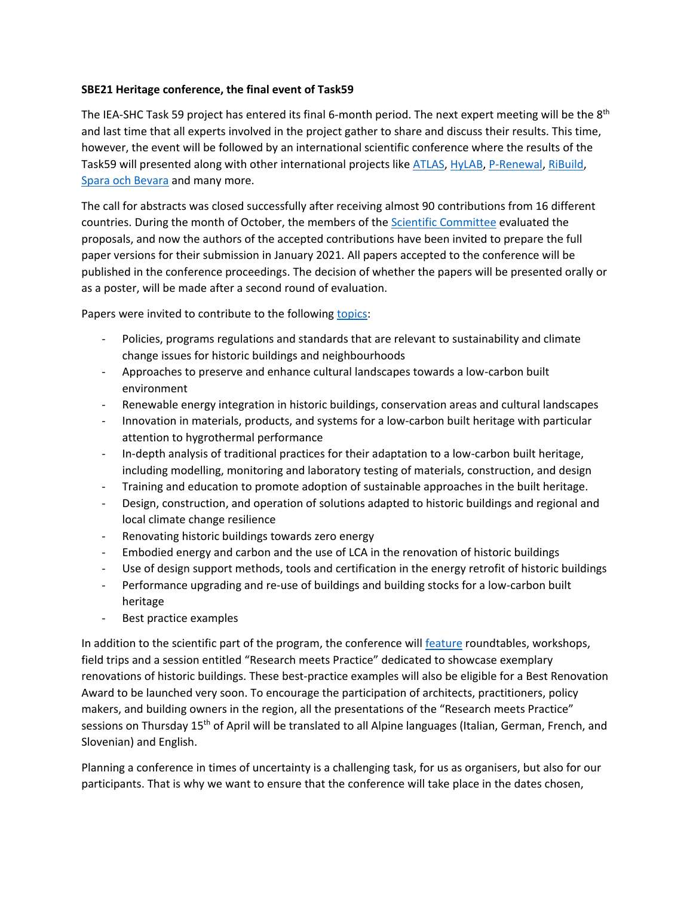## **SBE21 Heritage conference, the final event of Task59**

The IEA-SHC Task 59 project has entered its final 6-month period. The next expert meeting will be the 8<sup>th</sup> and last time that all experts involved in the project gather to share and discuss their results. This time, however, the event will be followed by an international scientific conference where the results of the Task59 will presented along with other international projects like [ATLAS,](https://www.alpine-space.eu/projects/atlas/en/home) [HyLAB,](http://www.eurac.edu/en/research/technologies/renewableenergy/Infrastructure/Pages/hygrothermal-testing-lab.aspx) [P-Renewal,](https://www.p-renewal.be/) [RiBuild,](https://www.ribuild.eu/) Spara och [Bevara](http://www.sparaochbevara.se/) and many more.

The call for abstracts was closed successfully after receiving almost 90 contributions from 16 different countries. During the month of October, the members of the [Scientific Committee](https://sbe21heritage.eurac.edu/about/committee/) evaluated the proposals, and now the authors of the accepted contributions have been invited to prepare the full paper versions for their submission in January 2021. All papers accepted to the conference will be published in the conference proceedings. The decision of whether the papers will be presented orally or as a poster, will be made after a second round of evaluation.

Papers were invited to contribute to the following [topics:](https://sbe21heritage.eurac.edu/take-part/call-for-proposals/)

- Policies, programs regulations and standards that are relevant to sustainability and climate change issues for historic buildings and neighbourhoods
- Approaches to preserve and enhance cultural landscapes towards a low-carbon built environment
- Renewable energy integration in historic buildings, conservation areas and cultural landscapes
- Innovation in materials, products, and systems for a low-carbon built heritage with particular attention to hygrothermal performance
- In-depth analysis of traditional practices for their adaptation to a low-carbon built heritage, including modelling, monitoring and laboratory testing of materials, construction, and design
- Training and education to promote adoption of sustainable approaches in the built heritage.
- Design, construction, and operation of solutions adapted to historic buildings and regional and local climate change resilience
- Renovating historic buildings towards zero energy
- Embodied energy and carbon and the use of LCA in the renovation of historic buildings
- Use of design support methods, tools and certification in the energy retrofit of historic buildings
- Performance upgrading and re-use of buildings and building stocks for a low-carbon built heritage
- Best practice examples

In addition to the scientific part of the program, the conference will [feature](https://sbe21heritage.eurac.edu/programme/) roundtables, workshops, field trips and a session entitled "Research meets Practice" dedicated to showcase exemplary renovations of historic buildings. These best-practice examples will also be eligible for a Best Renovation Award to be launched very soon. To encourage the participation of architects, practitioners, policy makers, and building owners in the region, all the presentations of the "Research meets Practice" sessions on Thursday 15<sup>th</sup> of April will be translated to all Alpine languages (Italian, German, French, and Slovenian) and English.

Planning a conference in times of uncertainty is a challenging task, for us as organisers, but also for our participants. That is why we want to ensure that the conference will take place in the dates chosen,